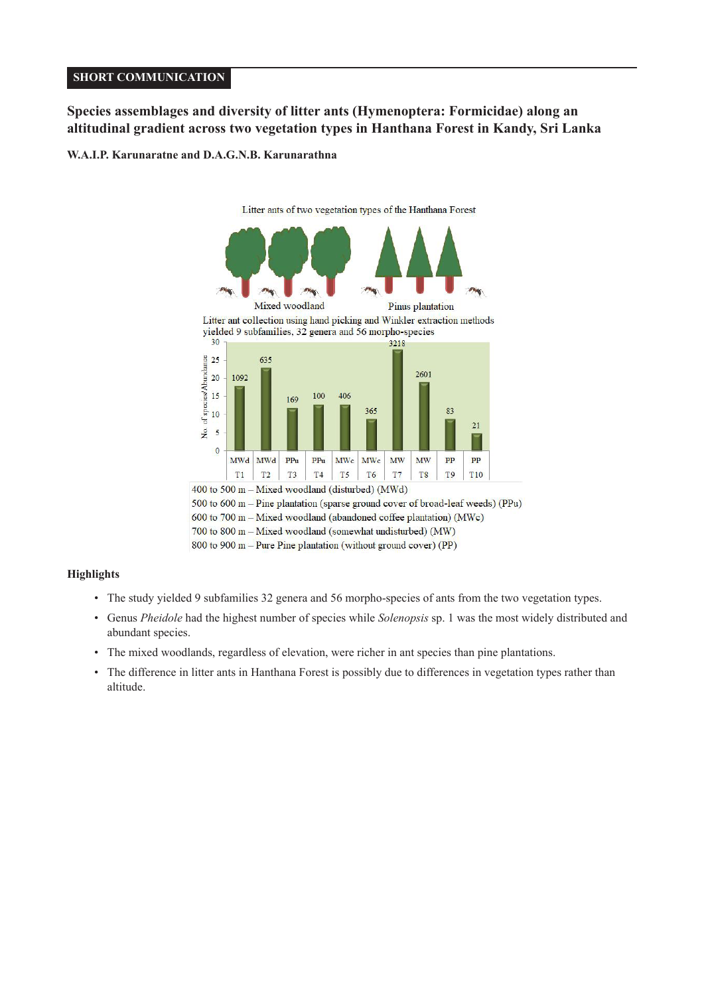# **SHORT COMMUNICATION**

# **Species assemblages and diversity of litter ants (Hymenoptera: Formicidae) along an altitudinal gradient across two vegetation types in Hanthana Forest in Kandy, Sri Lanka**

# **W.A.I.P. Karunaratne and D.A.G.N.B. Karunarathna**



<sup>700</sup> to 800 m - Mixed woodland (somewhat undisturbed) (MW)

# **Highlights**

- The study yielded 9 subfamilies 32 genera and 56 morpho-species of ants from the two vegetation types.
- Genus *Pheidole* had the highest number of species while *Solenopsis* sp. 1 was the most widely distributed and abundant species.
- The mixed woodlands, regardless of elevation, were richer in ant species than pine plantations.
- The difference in litter ants in Hanthana Forest is possibly due to differences in vegetation types rather than altitude.

<sup>800</sup> to 900 m - Pure Pine plantation (without ground cover) (PP)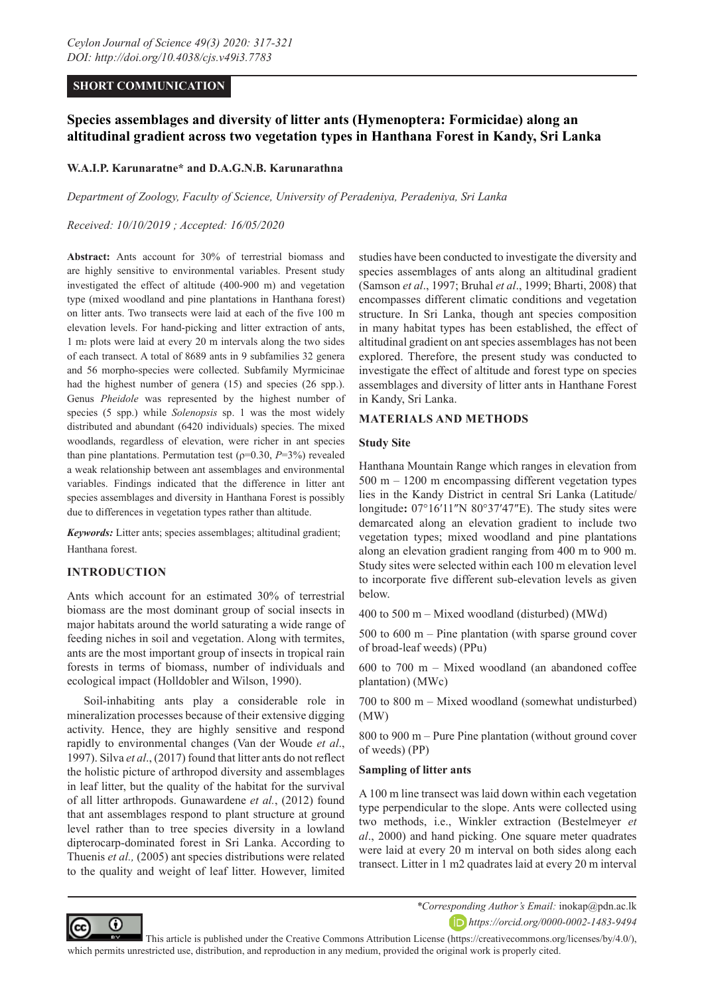# **SHORT COMMUNICATION**

# **Species assemblages and diversity of litter ants (Hymenoptera: Formicidae) along an altitudinal gradient across two vegetation types in Hanthana Forest in Kandy, Sri Lanka**

# **W.A.I.P. Karunaratne\* and D.A.G.N.B. Karunarathna**

*Department of Zoology, Faculty of Science, University of Peradeniya, Peradeniya, Sri Lanka*

# *Received: 10/10/2019 ; Accepted: 16/05/2020*

**Abstract:** Ants account for 30% of terrestrial biomass and are highly sensitive to environmental variables. Present study investigated the effect of altitude (400-900 m) and vegetation type (mixed woodland and pine plantations in Hanthana forest) on litter ants. Two transects were laid at each of the five 100 m elevation levels. For hand-picking and litter extraction of ants, 1 m2 plots were laid at every 20 m intervals along the two sides of each transect. A total of 8689 ants in 9 subfamilies 32 genera and 56 morpho-species were collected. Subfamily Myrmicinae had the highest number of genera (15) and species (26 spp.). Genus *Pheidole* was represented by the highest number of species (5 spp.) while *Solenopsis* sp. 1 was the most widely distributed and abundant (6420 individuals) species. The mixed woodlands, regardless of elevation, were richer in ant species than pine plantations. Permutation test ( $p=0.30$ ,  $P=3\%$ ) revealed a weak relationship between ant assemblages and environmental variables. Findings indicated that the difference in litter ant species assemblages and diversity in Hanthana Forest is possibly due to differences in vegetation types rather than altitude.

*Keywords:* Litter ants; species assemblages; altitudinal gradient; Hanthana forest.

# **INTRODUCTION**

Ants which account for an estimated 30% of terrestrial biomass are the most dominant group of social insects in major habitats around the world saturating a wide range of feeding niches in soil and vegetation. Along with termites, ants are the most important group of insects in tropical rain forests in terms of biomass, number of individuals and ecological impact (Holldobler and Wilson, 1990).

Soil-inhabiting ants play a considerable role in mineralization processes because of their extensive digging activity. Hence, they are highly sensitive and respond rapidly to environmental changes (Van der Woude *et al*., 1997). Silva *et al*., (2017) found that litter ants do not reflect the holistic picture of arthropod diversity and assemblages in leaf litter, but the quality of the habitat for the survival of all litter arthropods. Gunawardene *et al.*, (2012) found that ant assemblages respond to plant structure at ground level rather than to tree species diversity in a lowland dipterocarp-dominated forest in Sri Lanka. According to Thuenis *et al.,* (2005) ant species distributions were related to the quality and weight of leaf litter. However, limited studies have been conducted to investigate the diversity and species assemblages of ants along an altitudinal gradient (Samson *et al*., 1997; Bruhal *et al*., 1999; Bharti, 2008) that encompasses different climatic conditions and vegetation structure. In Sri Lanka, though ant species composition in many habitat types has been established, the effect of altitudinal gradient on ant species assemblages has not been explored. Therefore, the present study was conducted to investigate the effect of altitude and forest type on species assemblages and diversity of litter ants in Hanthane Forest in Kandy, Sri Lanka.

# **MATERIALS AND METHODS**

#### **Study Site**

Hanthana Mountain Range which ranges in elevation from 500 m – 1200 m encompassing different vegetation types lies in the Kandy District in central Sri Lanka (Latitude/ longitude**:** 07°16′11″N 80°37′47″E). The study sites were demarcated along an elevation gradient to include two vegetation types; mixed woodland and pine plantations along an elevation gradient ranging from 400 m to 900 m. Study sites were selected within each 100 m elevation level to incorporate five different sub-elevation levels as given below.

400 to 500 m – Mixed woodland (disturbed) (MWd)

500 to 600 m – Pine plantation (with sparse ground cover of broad-leaf weeds) (PPu)

600 to 700 m – Mixed woodland (an abandoned coffee plantation) (MWc)

700 to 800 m – Mixed woodland (somewhat undisturbed) (MW)

800 to 900 m – Pure Pine plantation (without ground cover of weeds) (PP)

# **Sampling of litter ants**

A 100 m line transect was laid down within each vegetation type perpendicular to the slope. Ants were collected using two methods, i.e., Winkler extraction (Bestelmeyer *et al*., 2000) and hand picking. One square meter quadrates were laid at every 20 m interval on both sides along each transect. Litter in 1 m2 quadrates laid at every 20 m interval



*\*Corresponding Author's Email:* inokap@pdn.ac.lk *https://orcid.org/0000-0002-1483-9494*

 This article is published under the Creative Commons Attribution License (https://creativecommons.org/licenses/by/4.0/), which permits unrestricted use, distribution, and reproduction in any medium, provided the original work is properly cited.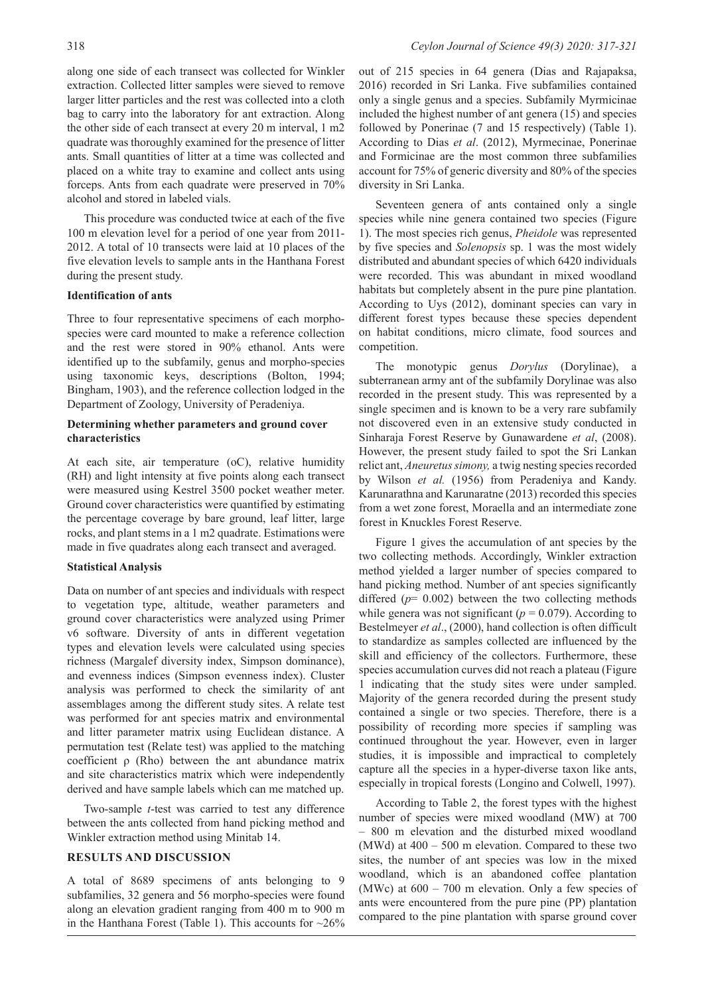along one side of each transect was collected for Winkler extraction. Collected litter samples were sieved to remove larger litter particles and the rest was collected into a cloth bag to carry into the laboratory for ant extraction. Along the other side of each transect at every 20 m interval, 1 m2 quadrate was thoroughly examined for the presence of litter ants. Small quantities of litter at a time was collected and placed on a white tray to examine and collect ants using forceps. Ants from each quadrate were preserved in 70% alcohol and stored in labeled vials.

This procedure was conducted twice at each of the five 100 m elevation level for a period of one year from 2011- 2012. A total of 10 transects were laid at 10 places of the five elevation levels to sample ants in the Hanthana Forest during the present study.

# **Identification of ants**

Three to four representative specimens of each morphospecies were card mounted to make a reference collection and the rest were stored in 90% ethanol. Ants were identified up to the subfamily, genus and morpho-species using taxonomic keys, descriptions (Bolton, 1994; Bingham, 1903), and the reference collection lodged in the Department of Zoology, University of Peradeniya.

# **Determining whether parameters and ground cover characteristics**

At each site, air temperature (oC), relative humidity (RH) and light intensity at five points along each transect were measured using Kestrel 3500 pocket weather meter. Ground cover characteristics were quantified by estimating the percentage coverage by bare ground, leaf litter, large rocks, and plant stems in a 1 m2 quadrate. Estimations were made in five quadrates along each transect and averaged.

## **Statistical Analysis**

Data on number of ant species and individuals with respect to vegetation type, altitude, weather parameters and ground cover characteristics were analyzed using Primer v6 software. Diversity of ants in different vegetation types and elevation levels were calculated using species richness (Margalef diversity index, Simpson dominance), and evenness indices (Simpson evenness index). Cluster analysis was performed to check the similarity of ant assemblages among the different study sites. A relate test was performed for ant species matrix and environmental and litter parameter matrix using Euclidean distance. A permutation test (Relate test) was applied to the matching coefficient  $\rho$  (Rho) between the ant abundance matrix and site characteristics matrix which were independently derived and have sample labels which can me matched up.

Two-sample *t*-test was carried to test any difference between the ants collected from hand picking method and Winkler extraction method using Minitab 14.

## **RESULTS AND DISCUSSION**

A total of 8689 specimens of ants belonging to 9 subfamilies, 32 genera and 56 morpho-species were found along an elevation gradient ranging from 400 m to 900 m in the Hanthana Forest (Table 1). This accounts for  $\sim$ 26%

out of 215 species in 64 genera (Dias and Rajapaksa, 2016) recorded in Sri Lanka. Five subfamilies contained only a single genus and a species. Subfamily Myrmicinae included the highest number of ant genera (15) and species followed by Ponerinae (7 and 15 respectively) (Table 1). According to Dias *et al*. (2012), Myrmecinae, Ponerinae and Formicinae are the most common three subfamilies account for 75% of generic diversity and 80% of the species diversity in Sri Lanka.

Seventeen genera of ants contained only a single species while nine genera contained two species (Figure 1). The most species rich genus, *Pheidole* was represented by five species and *Solenopsis* sp. 1 was the most widely distributed and abundant species of which 6420 individuals were recorded. This was abundant in mixed woodland habitats but completely absent in the pure pine plantation. According to Uys (2012), dominant species can vary in different forest types because these species dependent on habitat conditions, micro climate, food sources and competition.

The monotypic genus *Dorylus* (Dorylinae), a subterranean army ant of the subfamily Dorylinae was also recorded in the present study. This was represented by a single specimen and is known to be a very rare subfamily not discovered even in an extensive study conducted in Sinharaja Forest Reserve by Gunawardene *et al*, (2008). However, the present study failed to spot the Sri Lankan relict ant, *Aneuretus simony,* a twig nesting species recorded by Wilson *et al.* (1956) from Peradeniya and Kandy. Karunarathna and Karunaratne (2013) recorded this species from a wet zone forest, Moraella and an intermediate zone forest in Knuckles Forest Reserve.

Figure 1 gives the accumulation of ant species by the two collecting methods. Accordingly, Winkler extraction method yielded a larger number of species compared to hand picking method. Number of ant species significantly differed  $(p= 0.002)$  between the two collecting methods while genera was not significant ( $p = 0.079$ ). According to Bestelmeyer *et al*., (2000), hand collection is often difficult to standardize as samples collected are influenced by the skill and efficiency of the collectors. Furthermore, these species accumulation curves did not reach a plateau (Figure 1 indicating that the study sites were under sampled. Majority of the genera recorded during the present study contained a single or two species. Therefore, there is a possibility of recording more species if sampling was continued throughout the year. However, even in larger studies, it is impossible and impractical to completely capture all the species in a hyper-diverse taxon like ants, especially in tropical forests (Longino and Colwell, 1997).

According to Table 2, the forest types with the highest number of species were mixed woodland (MW) at 700 – 800 m elevation and the disturbed mixed woodland (MWd) at  $400 - 500$  m elevation. Compared to these two sites, the number of ant species was low in the mixed woodland, which is an abandoned coffee plantation (MWc) at  $600 - 700$  m elevation. Only a few species of ants were encountered from the pure pine (PP) plantation compared to the pine plantation with sparse ground cover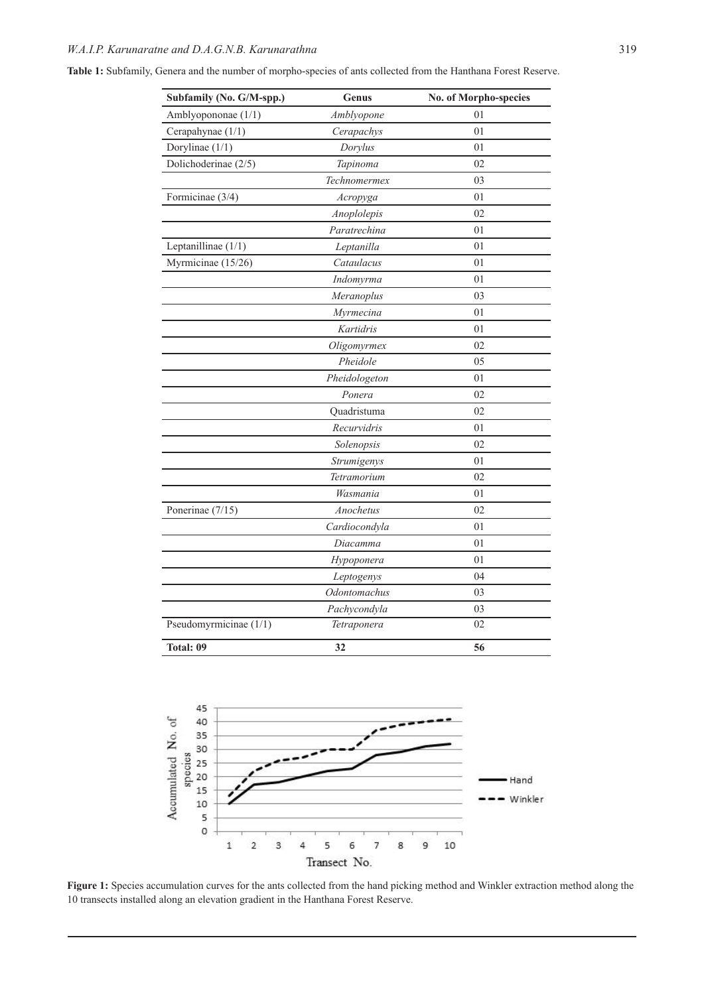**Table 1:** Subfamily, Genera and the number of morpho-species of ants collected from the Hanthana Forest Reserve.

| Subfamily (No. G/M-spp.) | Genus            | No. of Morpho-species |
|--------------------------|------------------|-----------------------|
| Amblyopononae (1/1)      | Amblyopone       | 01                    |
| Cerapahynae (1/1)        | 01<br>Cerapachys |                       |
| Dorylinae (1/1)          | Dorylus          | 01                    |
| Dolichoderinae (2/5)     | Tapinoma         | 02                    |
|                          | Technomermex     | 03                    |
| Formicinae (3/4)         | Acropyga         | 01                    |
|                          | Anoplolepis      | 02                    |
|                          | Paratrechina     | 01                    |
| Leptanillinae (1/1)      | Leptanilla       | 01                    |
| Myrmicinae (15/26)       | Cataulacus       | 01                    |
|                          | Indomyrma        | 01                    |
|                          | Meranoplus       | 03                    |
|                          | Myrmecina        | 01                    |
|                          | Kartidris        | 01                    |
|                          | Oligomyrmex      | 02                    |
|                          | Pheidole         | 05                    |
|                          | Pheidologeton    | 01                    |
|                          | Ponera           | 02                    |
|                          | Quadristuma      | 02                    |
|                          | Recurvidris      | 01                    |
|                          | Solenopsis       | 02                    |
|                          | Strumigenys      | 01                    |
|                          | Tetramorium      | 02                    |
|                          | Wasmania         | 01                    |
| Ponerinae (7/15)         | Anochetus        | 02                    |
|                          | Cardiocondyla    | 01                    |
|                          | Diacamma         | 01                    |
|                          | Hypoponera       | 01                    |
|                          | Leptogenys       | 04                    |
|                          | Odontomachus     | 03                    |
|                          | Pachycondyla     | 03                    |
| Pseudomyrmicinae (1/1)   | Tetraponera      | 02                    |
| Total: 09                | 32               | 56                    |



Figure 1: Species accumulation curves for the ants collected from the hand picking method and Winkler extraction method along the 10 transects installed along an elevation gradient in the Hanthana Forest Reserve.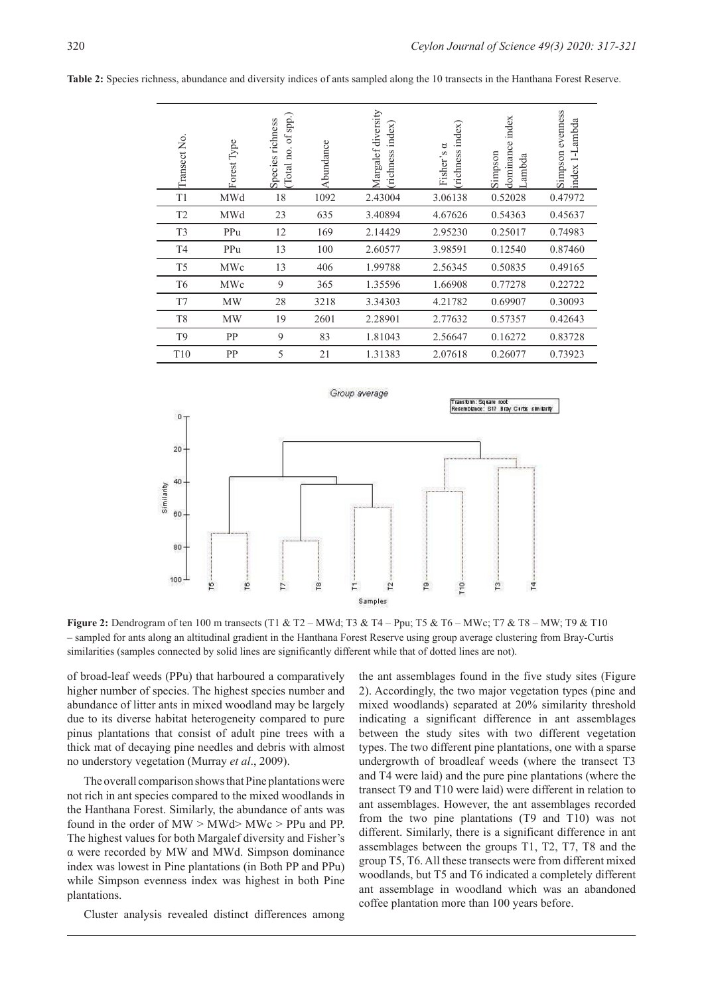|                                                                                                                                                                                                                                                                                                                                                                  | Transect No.                      | Forest Type       | (Total no. of spp.)<br>Species richness | Abundance      | Margalef diversity<br>richness index) | (richness index)<br>Fisher's a | dominance index<br>Simpson<br>Lambda                             | Simpson evenness<br>index 1-Lambda |
|------------------------------------------------------------------------------------------------------------------------------------------------------------------------------------------------------------------------------------------------------------------------------------------------------------------------------------------------------------------|-----------------------------------|-------------------|-----------------------------------------|----------------|---------------------------------------|--------------------------------|------------------------------------------------------------------|------------------------------------|
|                                                                                                                                                                                                                                                                                                                                                                  | T1                                | MWd               | 18                                      | 1092           | 2.43004                               | 3.06138                        | 0.52028                                                          | 0.47972                            |
|                                                                                                                                                                                                                                                                                                                                                                  | T <sub>2</sub>                    | MWd               | 23                                      | 635            | 3.40894                               | 4.67626                        | 0.54363                                                          | 0.45637                            |
|                                                                                                                                                                                                                                                                                                                                                                  | T <sub>3</sub>                    | PPu               | 12                                      | 169            | 2.14429                               | 2.95230                        | 0.25017                                                          | 0.74983                            |
|                                                                                                                                                                                                                                                                                                                                                                  | T <sub>4</sub>                    | PPu               | 13                                      | 100            | 2.60577                               | 3.98591                        | 0.12540                                                          | 0.87460                            |
|                                                                                                                                                                                                                                                                                                                                                                  | T <sub>5</sub>                    | MWc               | 13                                      | 406            | 1.99788                               | 2.56345                        | 0.50835                                                          | 0.49165                            |
|                                                                                                                                                                                                                                                                                                                                                                  | T <sub>6</sub>                    | MWc               | 9                                       | 365            | 1.35596                               | 1.66908                        | 0.77278                                                          | 0.22722                            |
|                                                                                                                                                                                                                                                                                                                                                                  | T7                                | MW                | 28                                      | 3218           | 3.34303                               | 4.21782                        | 0.69907                                                          | 0.30093                            |
|                                                                                                                                                                                                                                                                                                                                                                  | T8                                | MW                | 19                                      | 2601           | 2.28901                               | 2.77632                        | 0.57357                                                          | 0.42643                            |
|                                                                                                                                                                                                                                                                                                                                                                  | T <sub>9</sub>                    | PP                | 9                                       | 83             | 1.81043                               | 2.56647                        | 0.16272                                                          | 0.83728                            |
|                                                                                                                                                                                                                                                                                                                                                                  | T10                               | PP                | 5                                       | 21             | 1.31383                               | 2.07618                        | 0.26077                                                          | 0.73923                            |
|                                                                                                                                                                                                                                                                                                                                                                  | $0 -$<br>20<br>40                 |                   |                                         |                | Group average                         |                                | Transform:Square root<br>Resemblance: S17 Bray Curtls similarity |                                    |
|                                                                                                                                                                                                                                                                                                                                                                  | Similarity<br>60<br>80<br>$100 -$ | 19<br>$\tilde{r}$ | F                                       | $\frac{8}{16}$ | 12<br>Е<br>Samples                    | $\overline{r}$<br><b>PTD</b>   | $\mathbf{r}$<br>$^{14}$                                          |                                    |
| Figure 2: Dendrogram of ten 100 m transects (T1 & T2 – MWd; T3 & T4 – Ppu; T5 & T6 – MWc; T7 & T8 – MW; T9 & T<br>- sampled for ants along an altitudinal gradient in the Hanthana Forest Reserve using group average clustering from Bray-Cu<br>similarities (samples connected by solid lines are significantly different while that of dotted lines are not). |                                   |                   |                                         |                |                                       |                                |                                                                  |                                    |

**Table 2:** Species richness, abundance and diversity indices of ants sampled along the 10 transects in the Hanthana Forest Reserve.



**Figure 2:** Dendrogram of ten 100 m transects (T1 & T2 – MWd; T3 & T4 – Ppu; T5 & T6 – MWc; T7 & T8 – MW; T9 & T10 – sampled for ants along an altitudinal gradient in the Hanthana Forest Reserve using group average clustering from Bray-Curtis

of broad-leaf weeds (PPu) that harboured a comparatively higher number of species. The highest species number and abundance of litter ants in mixed woodland may be largely due to its diverse habitat heterogeneity compared to pure pinus plantations that consist of adult pine trees with a thick mat of decaying pine needles and debris with almost no understory vegetation (Murray *et al*., 2009).

The overall comparison shows that Pine plantations were not rich in ant species compared to the mixed woodlands in the Hanthana Forest. Similarly, the abundance of ants was found in the order of  $MW > MW$ d $> MW$ c > PPu and PP. The highest values for both Margalef diversity and Fisher's α were recorded by MW and MWd. Simpson dominance index was lowest in Pine plantations (in Both PP and PPu) while Simpson evenness index was highest in both Pine plantations.

Cluster analysis revealed distinct differences among

the ant assemblages found in the five study sites (Figure 2). Accordingly, the two major vegetation types (pine and mixed woodlands) separated at 20% similarity threshold indicating a significant difference in ant assemblages between the study sites with two different vegetation types. The two different pine plantations, one with a sparse undergrowth of broadleaf weeds (where the transect T3 and T4 were laid) and the pure pine plantations (where the transect T9 and T10 were laid) were different in relation to ant assemblages. However, the ant assemblages recorded from the two pine plantations (T9 and T10) was not different. Similarly, there is a significant difference in ant assemblages between the groups T1, T2, T7, T8 and the group T5, T6. All these transects were from different mixed woodlands, but T5 and T6 indicated a completely different ant assemblage in woodland which was an abandoned coffee plantation more than 100 years before.